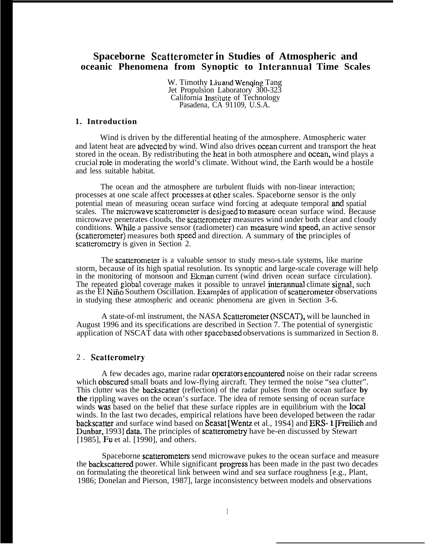## **Spaceborne Scattcrometer in Studies of Atmospheric and oceanic Phenomena from Synoptic to Interannual Time Scales**

W. Timothy Liu and Wenging Tang Jet Propulsion Laboratory 300-323 California Institute of Technology Pasadena, CA 91109, U.S.A.

#### **1. Introduction**

Wind is driven by the differential heating of the atmosphere. Atmospheric water and latent heat are advected by wind. Wind also drives ocean current and transport the heat stored in the ocean. By redistributing the heat in both atmosphere and ocean, wind plays a crucial role in moderating the world's climate. Without wind, the Earth would be a hostile and less suitable habitat.

The ocean and the atmosphere are turbulent fluids with non-linear interaction; processes at one scale affect processes at other scales. Spaceborne sensor is the only potential mean of measuring ocean surface wind forcing at adequate temporal ancl spatial scales. The microwave scatterometer is designed to measure ocean surface wind. Because microwave penetrates clouds, the scatterometer measures wind under both clear and cloudy conditions. While a passive sensor (radiometer) can measure wind speed, an active sensor (scatterometer) measures both speed and direction. A summary of the principles of scatterometry is given in Section 2.

The scatterometer is a valuable sensor to study meso-s.tale systems, like marine storm, because of its high spatial resolution. Its synoptic and large-scale coverage will help in the monitoring of monsoon and Ekman current (wind driven ocean surface circulation). The repeated global coverage makes it possible to unravel interannual climate signal, such as the El Niño Southern Oscillation. Examples of application of scatterometer observations in studying these atmospheric and oceanic phenomena are given in Section 3-6.

A state-of-ml instrument, the NASA Scatterometer (NSCAT), will be launched in August 1996 and its specifications are described in Section 7. The potential of synergistic application of NSCAT data with other spaccbased observations is summarized in Section 8.

#### 2. **Scatteromctry**

A few decades ago, marine radar operators encountered noise on their radar screens which obscured small boats and low-flying aircraft. They termed the noise "sea clutter". This clutter was the **backscatter** (reflection) of the radar pulses from the ocean surface **by the** rippling waves on the ocean's surface. The idea of remote sensing of ocean surface winds was based on the belief that these surface ripples are in equilibrium with the **local** winds. In the last two decades, empirical relations have been developed between the radar backscatter and surface wind based on Seasat [Wentz et al., 19S4] and ERS-1 **[Fred**ich and Dunbar, 1993] data. The principles of scatterometry have be-en discussed by Stewart [1985], **Fu** et al. [1990], and others.

Spaceborne scatterometers send microwave pukes to the ocean surface and measure the backscattered power. While significant progress has been made in the past two decades on formulating the theoretical link between wind and sea surface roughness [e.g., Plant, 1986; Donelan and Pierson, 1987], large inconsistency between models and observations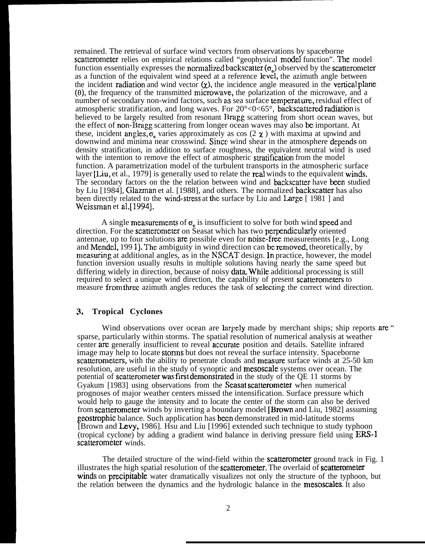remained. The retrieval of surface wind vectors from observations by spaceborne scatterometer relies on empirical relations called "geophysical model function". The model function essentially expresses the normalized backscatter  $(\sigma_n)$  observed by the scatterometer as a function of the equivalent wind speed at a reference level, the azimuth angle between the incident radiation and wind vector  $(x)$ , the incidence angle measured in the vertical plane  $(0)$ , the frequency of the transmitted microwave, the polarization of the microwave, and a number of secondary non-wind factors, such as sea surface temperature, residual effect of atmospheric stratification, and long waves. For  $20^{\circ}$ <0<65°, backscattered radiation is believed to be largely resulted from resonant Bragg scattering from short ocean waves, but the effect of non-Bragg scattering from longer ocean waves may also be important. At these, incident angles,  $\sigma$  varies approximately as cos (2  $\chi$ ) with maxima at upwind and downwind and minima near crosswind. Since wind shear in the atmosphere depends on density stratification, in addition to surface roughness, the equivalent neutral wind is used with the intention to remove the effect of atmospheric stratification from the model function. A parametrization model of the turbulent transports in the atmospheric surface layer  $[Liu, et al., 1979]$  is generally used to relate the real winds to the equivalent winds. The secondary factors on the the relation between wind and backscatter have been studied by Liu [1984], Glazman et al. [1988], and others. The normalized backscatter has also been directly related to the wind-stress at the surface by Liu and Large [ 1981 ] and Weissman et al.[1994].

A single measurements of  $\sigma_{\rm o}$  is insufficient to solve for both wind speed and direction. For the scatterometer on Seasat which has two perpendicularly oriented antennae, up to four solutions are possible even for noise-free measurements  $[e.g., Long]$ and Mendel, 1991]. The ambiguity in wind direction can be removed, theoretically, by meamring at additional angles, as in the NSCAT design. In practice, however, the model function inversion usually results in multiple solutions having nearly the same speed but differing widely in direction, because of noisy data While additional processing is still required to select a unique wind direction, the capability of present scatterometers to measure from threz azimuth angles reduces the task of selecting the correct wind direction.

#### 3. **Tropical Cyclones**

Wind observations over ocean are largely made by merchant ships; ship reports are " sparse, particularly within storms. The spatial resolution of numerical analysis at weather center are generally insufficient to reveal accumte position and details. Satellite infrared image may help to locate storms but does not reveal the surface intensity. Spaceborne scatterometers, with the ability to penetrate clouds and measure surface winds at 25-50 km resolution, are useful in the study of synoptic and mesoscale systems over ocean. The potential of scatterometer was first demonstrated in the study of the QE 11 storms by Gyakum [1983] using observations from the Seasat scatterometer when numerical prognoses of major weather centers missed the intensification. Surface pressure which would help to gauge the intensity and to locate the center of the storm can also be derived from scatterometer winds by inverting a boundary model [Bmvn and Liu, 1982] assuming geostrophic balance. Such application has been demonstrated in mid-latitude storms [Brown and Levy, 1986]. Hsu and Liu [1996] extended such technique to study typhoon (tropical cyclone) by adding a gradient wind balance in deriving pressure field using ERS-1 scatterometer winds.

The detailed structure of the wind-field within the scatterometer ground track in Fig. 1 illustrates the high spatial resolution of the scatterometer. The overlaid of scatterometer winds on precipitable water dramatically visualizes not only the structure of the typhoon, but the relation between the dynamics and the hydrologic balance in the mesoscales. It also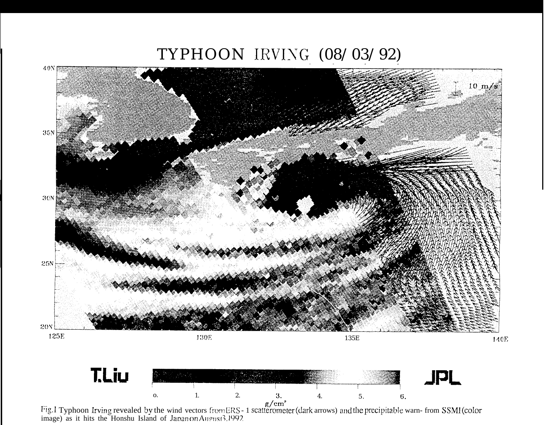# TYPHOON IRVING (08/03/92)



Fig.1 Typhoon Irving revealed by the wind vectors from ERS - 1 scatterometer (dark arrows) and the precipitable warn- from SSMI (color image) as it hits the Honshu Island of Japan on August 3.1992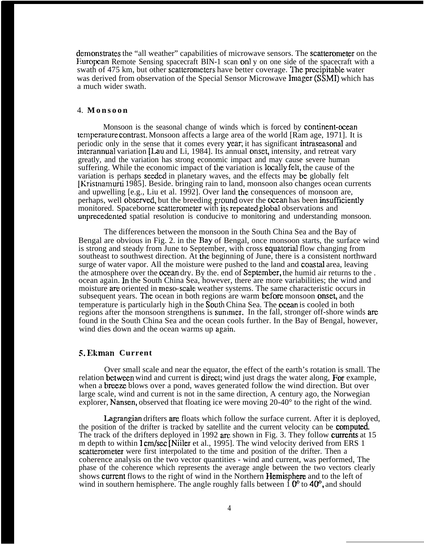demonstrates the "all weather" capabilities of microwave sensors. The scatterometer on the European Remote Sensing spacecraft BIN-1 scan only on one side of the spacecraft with a swath of 475 km, but other scatterometers have better coverage. The precipitable water was derived from observation of the Special Sensor Microwave Imager (SSMI) which has a much wider swath.

#### 4. **Monsoo n**

Monsoon is the seasonal change of winds which is forced by continent-ocean temperature contrast. Monsoon affects a large area of the world [Ram age, 1971]. It is periodic only in the sense that it comes every year, it has significant intrases as and interannual variation  $[Law and Li, 1984]$ . Its annual onset, intensity, and retreat vary greatly, and the variation has strong economic impact and may cause severe human suffering. While the economic impact of the variation is locally felt, the cause of the variation is perhaps seeded in planetary waves, and the effects may be globally felt [Kristnamurti 1985]. Beside. bringing rain to land, monsoon also changes ocean currents and upwelling [e.g., Liu et al. 1992]. Over land the consequences of monsoon are, perhaps, well observed, but the breeding ground over the ocean has been insufficiently monitored. Spaceborne scatterometer with its repeated global observations and unprecedented spatial resolution is conducive to monitoring and understanding monsoon.

The differences between the monsoon in the South China Sea and the Bay of Bengal are obvious in Fig. 2. in the Bay of Bengal, once monsoon starts, the surface wind is strong and steady from June to September, with cross quatorial flow changing from southeast to southwest direction. At the beginning of June, there is a consistent northward surge of water vapor. All the moisture were pushed to the land and coastal area, leaving the atmosphere over the ocean dry. By the, end of September, the humid air returns to the. ocean again. In the South China Sea, however, there are more variabilities; the wind and moisture are oriented in meso-scale weather systems. The same characteristic occurs in subsequent years. The ocean in both regions are warm before monsoon onset, and the temperature is particularly high in the South China Sea. The ocean is cooled in both regions after the monsoon strengthens is summer. In the fall, stronger off-shore winds are found in the South China Sea and the ocean cools further. In the Bay of Bengal, however, wind dies down and the ocean warms up again.

#### **S. Ekman Current**

Over small scale and near the equator, the effect of the earth's rotation is small. The relation between wind and current is direct; wind just drags the water along, For example, when a **breeze** blows over a pond, waves generated follow the wind direction. But over large scale, wind and current is not in the same direction, A century ago, the Norwegian explorer, Nansen, observed that floating ice were moving 20-40° to the right of the wind.

**Lagrangian** drifters are floats which follow the surface current. After it is deployed, the position of the drifter is tracked by satellite and the current velocity can be **computed**. The track of the drifters deployed in 1992 arc shown in Fig. 3. They follow currents at 15 m depth to within 1 cm/sec [Niiler et al., 1995]. The wind velocity derived from ERS 1 scatterometer were first interpolated to the time and position of the drifter. Then a coherence analysis on the two vector quantities - wind and current, was performed, The phase of the coherence which represents the average angle between the two vectors clearly shows current flows to the right of wind in the Northern Hemisphere and to the left of wind in southern hemisphere. The angle roughly falls between  $\hat{1}$   $0^{\circ}$  to  $40^{\circ}$ , and should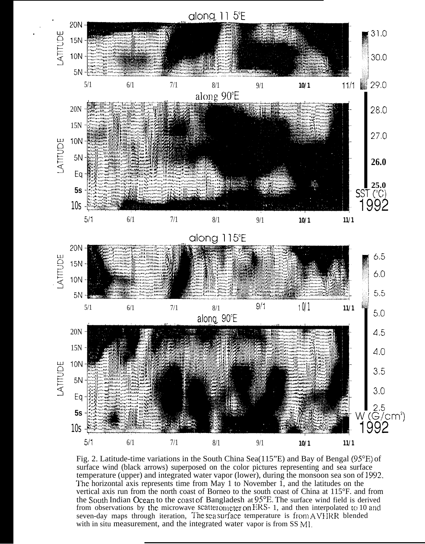

Fig. 2. Latitude-time variations in the South China Sea( $115$ <sup>o</sup>E) and Bay of Bengal ( $95^{\circ}$ E) of surface wind (black arrows) superposed on the color pictures representing and sea surface temperature (upper) and integrated water vapor (lower), during the monsoon sea son of 1992. The horizontal axis represents time from May 1 to November 1, and the latitudes on the vertical axis run from the north coast of Borneo to the south coast of China at 115°F. and from the South Indian Ocean to the coast of Bangladesh at 95°E. The surface wind field is derived<br>from observations by the microwave scatterometer on ERS- 1, and then interpolated to 10 and seven-day maps through iteration, The sea surface temperature is from AVHRR blended with in situ measurement, and the integrated water vapor is from SS MI.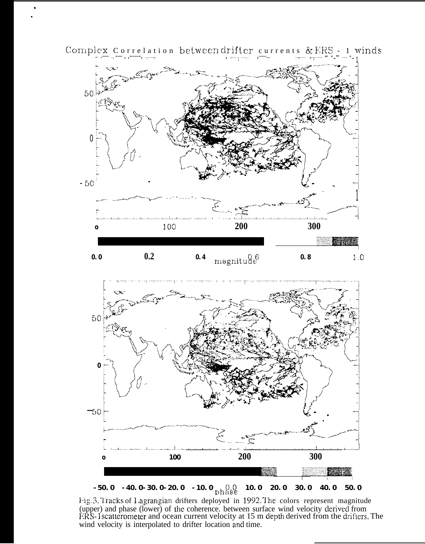

Complex Correlation between drifter currents & ERS - 1 winds



 $-50.0 - 40.0 - 30.0 - 20.0 - 10.0$  phase 10.0 20.0 30.0 40.0 50.0 Fig.3. Tracks of Lagrangian drifters deployed in 1992. The colors represent magnitude (upper) and phase (lower) of the coherence. between surface wind velocity derived from<br>ERS-1scatterometer and ocean current velocity at 15 m depth derived from the drifters. The wind velocity is interpolated to drifter location and time.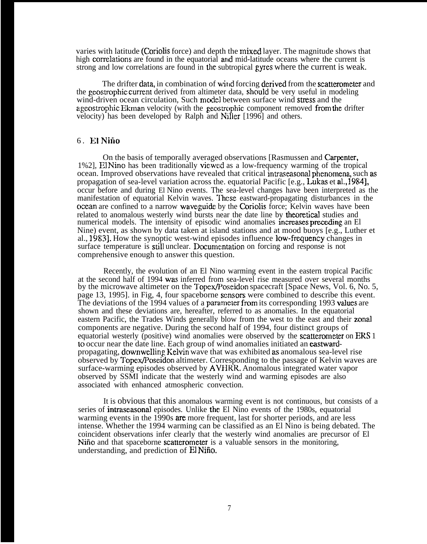varies with latitude (Coriolis force) and depth the mixed layer. The magnitude shows that high correlations are found in the equatorial and mid-latitude oceans where the current is strong and low correlations are found in the subtropical gyres where the current is weak.

The drifter data, in combination of wind forcing derived from the scatterometer and the geostrophic current derived from altimeter data, should be very useful in modeling wind-driven ocean circulation, Such model between surface wind stress and the ageostrophic Ekman velocity (with the geostrophic component removed from the drifter velocity) has been developed by Ralph and Niller [1996] and others.

#### 6. El Niño

On the basis of temporally averaged observations [Rasmussen and Carpenter, 1%2], El Nino has been traditionally viewrd as a low-frequency warming of the tropical ocean. Improved observations have revealed that critical intraseasonal phenomena, such as propagation of sea-level variation across the. equatorial Pacific [e.g., Lukas et al,, 1984], occur before and during El Nino events. The sea-level changes have been interpreted as the manifestation of equatorial Kelvin waves. These eastward-propagating disturbances in the ocean are confined to a narrow waveguidc by the Coriolis force; Kelvin waves have been related to anomalous westerly wind bursts near the date line by theoretical studies and numerical models. The intensity of episodic wind anomalies increases preceding an El Nine) event, as shown by data taken at island stations and at mood buoys [e.g., Luther et al., 1983]. How the synoptic west-wind episodes influence low-frequency changes in surface temperature is still unclear. Documentation on forcing and response is not comprehensive enough to answer this question.

Recently, the evolution of an El Nino warming event in the eastern tropical Pacific at the second half of 1994 was inferred from sea-level rise measured over several months by the microwave altimeter on the Topex/Poseidon spacecraft [Space News, Vol. 6, No. 5, page 13, 1995]. in Fig, 4, four spaceborne scnsom were combined to describe this event. The deviations of the 1994 values of a parameter from its corresponding 1993 values are shown and these deviations are, hereafter, referred to as anomalies. In the equatorial eastern Pacific, the Trades Winds generally blow from the west to the east and their zonal components are negative. During the second half of 1994, four distinct groups of equatorial westerly (positive) wind anomalies were observed by the scatterometer on ERS 1 to occur near the date line. Each group of wind anomalies initiated an eastwardpropagating, downwelling Kelvin wave that was exhibited as anomalous sea-level rise observed by Topex/Poseidon altimeter. Corresponding to the passage of Kelvin waves are surface-warming episodes observed by AVHRR. Anomalous integrated water vapor observed by SSMI indicate that the westerly wind and warming episodes are also associated with enhanced atmospheric convection.

It is obvious that this anomalous warming event is not continuous, but consists of a series of **intraseasonal** episodes. Unlike the El Nino events of the 1980s, equatorial warming events in the 1990s are more frequent, last for shorter periods, and are less intense. Whether the 1994 warming can be classified as an El Nino is being debated. The coincident observations infer clearly that the westerly wind anomalies are precursor of El Nifio and that spaceborne scatterometer is a valuable sensors in the monitoring, understanding, and prediction of El Nifio.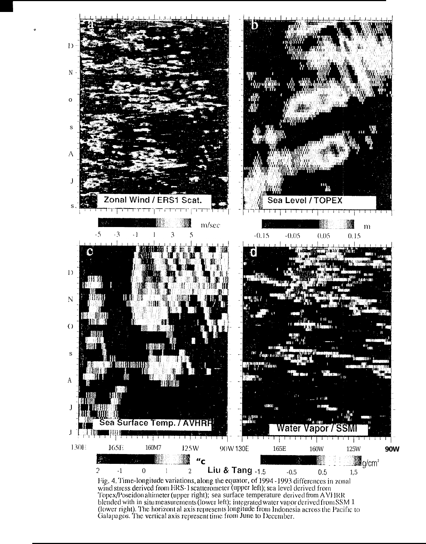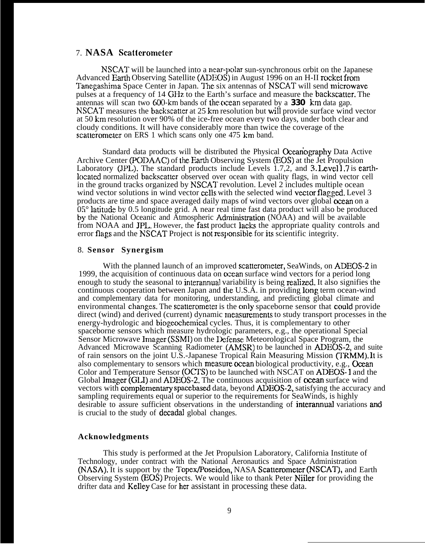### 7. **NASA Scattcrometer**

NSCAT will be launched into a near-polar sun-synchronous orbit on the Japanese Advanced Earth Observing Satellite (ADEOS) in August 1996 on an H-II rocket from Tanegashima Space Center in Japan. The six antennas of NSCAT will send microwave pulses at a frequency of 14 GHz to the Earth's surface and measure the backscatter. The antennas will scan two 600-km bands of the ocean separated by a 330 km data gap. NSCAT measures the backscatter at 25 km resolution but will provide surface wind vector at 50 km resolution over 90% of the ice-free ocean every two days, under both clear and cloudy conditions. It will have considerably more than twice the coverage of the scatterometer on ERS 1 which scans only one 475 km band.

Standard data products will be distributed the Physical Oxeanography Data Active Archive Center (PODAAC) of the Earth Observing System (EOS) at the Jet Propulsion Laboratory (JPL). The standard products include Levels 1.7,2, and  $3.$  Level 1.7 is earthlocated normalized backscatter observed over ocean with quality flags, in wind vector cell in the ground tracks organized by NSCAT revolution. Level 2 includes multiple ocean wind vector solutions in wind vector cells with the selected wind vector flagged. Level 3 products are time and space averaged daily maps of wind vectors over global ocean on a  $05^\circ$  latitude by 0.5 longitude grid. A near real time fast data product will also be produced by the National Oceanic and Atmospheric Administration (NOAA) and will be available from NOAA and JPL. However, the fast product lacks the appropriate quality controls and error flags and the NSCAT Project is not responsible for its scientific integrity.

#### 8. **Sensor Synergism**

With the planned launch of an improved scatterometer, SeaWinds, on ADEOS-2 in 1999, the acquisition of continuous data on ocean surface wind vectors for a period long enough to study the seasonal to interannual variability is being realized. It also signifies the continuous cooperation between Japan and the U.S.A. in providing long term ocean-wind and complementary data for monitoring, understanding, and predicting global climate and environmental changes. The scatterometer is the only spaceborne sensor that could provide direct (wind) and derived (current) dynamic measurements to study transport processes in the energy-hydrologic and biogeochemical cycles. Thus, it is complementary to other spaceborne sensors which measure hydrologic parameters, e.g., the operational Special Sensor Microwave Imager (SSMI) on the Defense Meteorological Space Program, the Advanced Microwave Scanning Radiometer (AMSR) to be launched in ADEOS-2, and suite of rain sensors on the joint U.S.-Japanese Tropical Rain Measuring Mission (TRMM). It is also complementary to sensors which measure ocean biological productivity, e.g., Ocean Color and Temperature Sensor (OCTS) to be launched with NSCAT on ADEOS-1 and the Global Imager (GLI) and ADEOS-2. The continuous acquisition of ocean surface wind vectors with complementary spacebased data, beyond ADEOS-2, satisfying the accuracy and sampling requirements equal or superior to the requirements for SeaWinds, is highly desirable to assure sufficient observations in the understanding of interannual variations and is crucial to the study of decadal global changes.

#### **Acknowledgments**

This study is performed at the Jet Propulsion Laboratory, California Institute of Technology, under contract with the National Aeronautics and Space Administration NASA). It is support by the Topex/Poseidon, NASA Scattemmeter (NSCAT), and Earth Observing System (EOS) Projects. We would like to thank Peter Niiler for providing the drifter data and Kelley Case for her assistant in processing these data.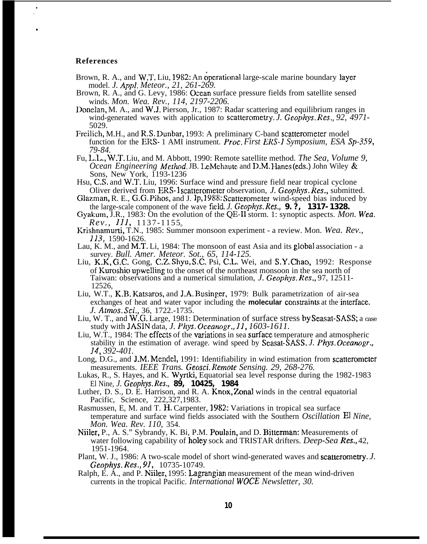#### **References**

● ✎

- Brown, R. A., and W.T. Liu, 1982: An operational large-scale marine boundary layer model. *J. Appl. Meteor., 21, 261-269.*
- Brown, R. A., and G. Levy, 1986: Ocean surface pressure fields from satellite sensed winds. *Mon. Wea. Rev., 114, 2197-2206.*
- Donelan, M. A., and W.J. Pierson, Jr., 1987: Radar scattering and equilibrium ranges in wind-generated waves with application to scatterometry. *J. Geophys. Res.*, 92, 4971-5029.
- Freilich, M.H., and R.S. Dunbar, 1993: A preliminary C-band scatterometer model function for the IRS- 1 AMI instrument. *Proc. First ERS-I Symposium, ESA Sp-359, 79-84.*
- Fu, L.L., W.T. Liu, and M. Abbott, 1990: Remote satellite method. *The Sea, Volume 9, Ocean Engineering Method.* JB. LeMehaute and D.M. Hanes (eds.) John Wiley & Sons, New York, 1193-1236
- Hsu, C.S. and W.T. Liu, 1996: Surface wind and pressure field near tropical cyclone Oliver derived from ERS-I scatterometer observation, *J. Geophys. Res.,* submitted.
- Glazman, R. E., G.G. Pihos, and J. lp, 1988: Scatterometer wind-speed bias induced by the large-scale component of the wave field. *J. Geophys. Res.,* **9.?, 1317-1328.**

Gyakum, J.R., 1983: On the evolution of the QE-11 storm. 1: synoptic aspects. *Mon. Wea. Rev., 111,* 1137-1155<sub>0</sub>

- Krishnamurti, T.N., 1985: Summer monsoon experiment a review. Mon. *Wea. Rev.,* 113, 1590-1626.
- Lau, K. M., and M.T. Li, 1984: The monsoon of east Asia and its global association a survey. *Bull. Amer. Meteor. Sot., 65, 114-125.*
- Liu, K.K, G.C. Gong, C.Z. Shyu, S.C. Psi, C.L. Wei, and S.Y. Chao, 1992: Response of Kuroshio upwelling to the onset of the northeast monsoon in the sea north of Taiwan: observations and a numerical simulation, *J. Geophys. Res.,* 97, 12511- 12526,
- Liu, W.T., K.B. Katsaros, and J.A. Businger, 1979: Bulk parametrization of air-sea exchanges of heat and water vapor including the **molecular** constraints at the interface. *J. AwOs. Sci.,* 36, 1722.-1735.
- Liu, W. T., and W.G. Large, 1981: Determination of surface stress by Seasat-SASS; a case study with JASIN data, *J. Phys, Oceanogr., 11, 1603-1611.*
- Liu, W.T., 1984: The effects of the variations in sea surface temperature and atmospheric stability in the estimation of average. wind speed by Seasat-SASS. *J. Phys. Oceanogr.*, *14, 392-401.*
- Long, D.G., and J.M. Mendel, 1991: Identifiability in wind estimation from scatterometer measurements. *IEEE Trans. Geosci. Remote Sensing. 29, 268-276.*
- Lukas, R., S. Hayes, and K. Wyrtki, Equatorial sea level response during the 1982-1983 El Nine, *J. Geophys. Res.,* **89, 10425, 1984**
- Luther, D. S., D. E. Harrison, and R. A. Knox, Zonal winds in the central equatorial Pacific, Science, 222,327,1983.
- Rasmussen, E, M. and T. H. Carpenter, 1982: Variations in tropical sea surface temperature and surface wind fields associated with the Southern *Oscillation El Nine, Mon. Wea. Rev. 110,* 354.
- Niiler, P., A. S." Sybrandy, K. Bi, P.M. Poulain, and D. Bitterman: Measurements of water following capability of holey sock and TRISTAR drifters. *Deep-Sea Res.,* 42, 1951-1964.
- Plant, W. J., 1986: A two-scale model of short wind-generated waves and scatterometry. *J. Geophys. Res., 91,* 10735-10749.
- Ralph, E. A., and P. Niiler, 1995: Lagrangian measurement of the mean wind-driven currents in the tropical Pacific. *International WOCE Newsletter, 30.*